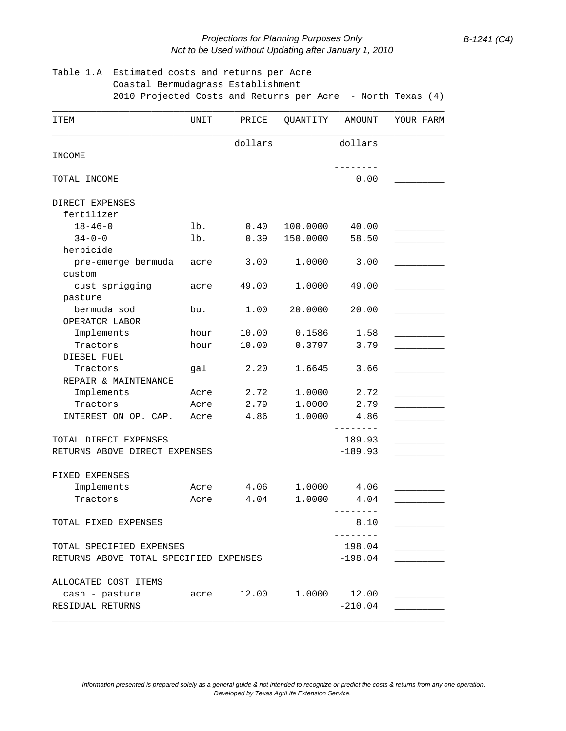## *Projections for Planning Purposes Only B-1241 (C4) Not to be Used without Updating after January 1, 2010*

## Table 1.A Estimated costs and returns per Acre Coastal Bermudagrass Establishment 2010 Projected Costs and Returns per Acre - North Texas (4)

| ITEM                                   | UNIT   | PRICE                   | QUANTITY  | AMOUNT    | YOUR FARM |  |
|----------------------------------------|--------|-------------------------|-----------|-----------|-----------|--|
|                                        |        | dollars                 |           | dollars   |           |  |
| INCOME                                 |        |                         |           | --------  |           |  |
| TOTAL INCOME                           |        |                         |           | 0.00      |           |  |
| DIRECT EXPENSES                        |        |                         |           |           |           |  |
| fertilizer                             |        |                         |           |           |           |  |
| $18 - 46 - 0$                          | $1b$ . | 0.40                    | 100.0000  | 40.00     |           |  |
| $34 - 0 - 0$                           | lb.    | 0.39                    | 150.0000  | 58.50     |           |  |
| herbicide                              |        |                         |           |           |           |  |
| pre-emerge bermuda<br>custom           | acre   | 3.00                    | 1.0000    | 3.00      |           |  |
| cust sprigging                         | acre   | 49.00                   | 1.0000    | 49.00     |           |  |
| pasture                                |        |                         |           |           |           |  |
| bermuda sod                            | bu.    | 1.00                    | 20.0000   | 20.00     |           |  |
| OPERATOR LABOR                         |        |                         |           |           |           |  |
| Implements                             | hour   | 10.00                   | 0.1586    | 1.58      |           |  |
| Tractors                               | hour   | 10.00                   | 0.3797    | 3.79      |           |  |
| DIESEL FUEL                            |        |                         |           |           |           |  |
| Tractors                               | gal    | 2.20                    | 1.6645    | 3.66      |           |  |
| REPAIR & MAINTENANCE                   |        |                         |           |           |           |  |
| Implements                             | Acre   | 2.72                    | 1.0000    | 2.72      |           |  |
| Tractors                               | Acre   | 2.79                    | 1.0000    | 2.79      |           |  |
| INTEREST ON OP. CAP.                   | Acre   | 4.86                    | 1.0000    | 4.86      |           |  |
|                                        |        |                         |           |           |           |  |
| TOTAL DIRECT EXPENSES                  |        |                         |           | 189.93    |           |  |
| RETURNS ABOVE DIRECT EXPENSES          |        |                         | $-189.93$ |           |           |  |
|                                        |        |                         |           |           |           |  |
| FIXED EXPENSES                         |        |                         |           |           |           |  |
| Implements                             | Acre   | 4.06                    | 1.0000    | 4.06      |           |  |
| Tractors                               | Acre   | 4.04                    | 1.0000    | 4.04      |           |  |
|                                        |        |                         |           |           |           |  |
| TOTAL FIXED EXPENSES                   |        |                         |           | 8.10      |           |  |
| TOTAL SPECIFIED EXPENSES               |        |                         |           | 198.04    |           |  |
| RETURNS ABOVE TOTAL SPECIFIED EXPENSES |        |                         |           | $-198.04$ |           |  |
|                                        |        |                         |           |           |           |  |
| ALLOCATED COST ITEMS                   |        |                         |           |           |           |  |
| cash - pasture                         |        | acre 12.00 1.0000 12.00 |           |           |           |  |
| RESIDUAL RETURNS                       |        |                         |           | $-210.04$ |           |  |
|                                        |        |                         |           |           |           |  |